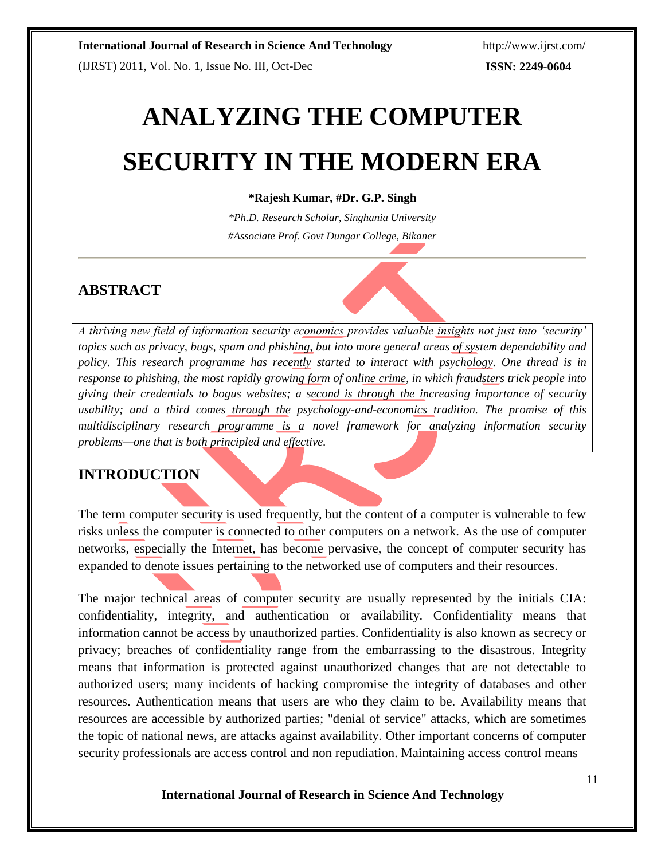**ISSN: 2249-0604**

# **ANALYZING THE COMPUTER SECURITY IN THE MODERN ERA**

**\*Rajesh Kumar, #Dr. G.P. Singh**

*\*Ph.D. Research Scholar, Singhania University #Associate Prof. Govt Dungar College, Bikaner*

# **ABSTRACT**

*A thriving new field of information security economics provides valuable insights not just into 'security' topics such as privacy, bugs, spam and phishing, but into more general areas of system dependability and policy. This research programme has recently started to interact with psychology. One thread is in response to phishing, the most rapidly growing form of online crime, in which fraudsters trick people into giving their credentials to bogus websites; a second is through the increasing importance of security usability; and a third comes through the psychology-and-economics tradition. The promise of this multidisciplinary research programme is a novel framework for analyzing information security problems—one that is both principled and effective.*

## **INTRODUCTION**

The term computer security is used frequently, but the content of a computer is vulnerable to few risks unless the computer is connected to other computers on a network. As the use of computer networks, especially the Internet, has become pervasive, the concept of computer security has expanded to denote issues pertaining to the networked use of computers and their resources.

The major technical areas of computer security are usually represented by the initials CIA: confidentiality, integrity, and authentication or availability. Confidentiality means that information cannot be access by unauthorized parties. Confidentiality is also known as secrecy or privacy; breaches of confidentiality range from the embarrassing to the disastrous. Integrity means that information is protected against unauthorized changes that are not detectable to authorized users; many incidents of hacking compromise the integrity of databases and other resources. Authentication means that users are who they claim to be. Availability means that resources are accessible by authorized parties; "denial of service" attacks, which are sometimes the topic of national news, are attacks against availability. Other important concerns of computer security professionals are access control and non repudiation. Maintaining access control means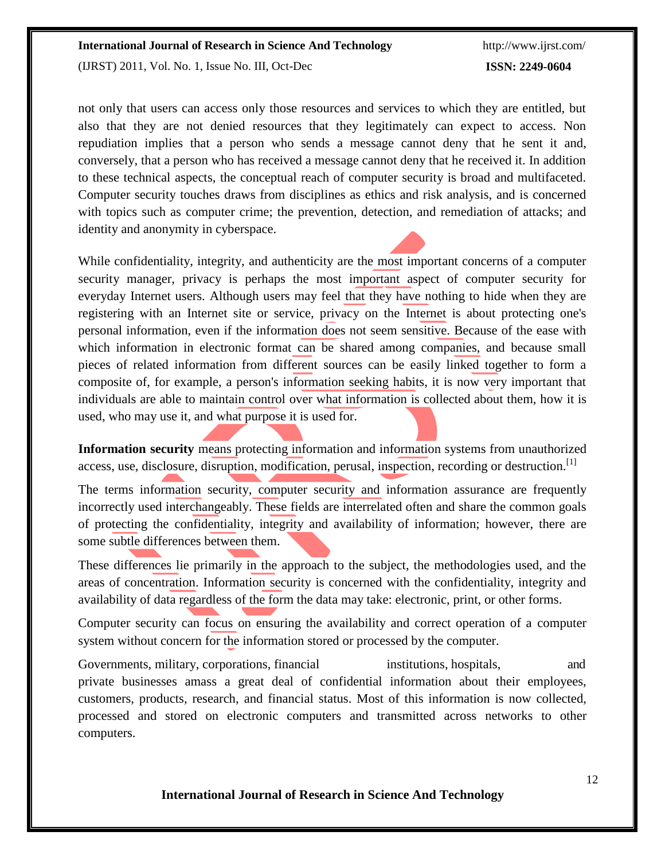(IJRST) 2011, Vol. No. 1, Issue No. III, Oct-Dec

not only that users can access only those resources and services to which they are entitled, but also that they are not denied resources that they legitimately can expect to access. Non repudiation implies that a person who sends a message cannot deny that he sent it and, conversely, that a person who has received a message cannot deny that he received it. In addition to these technical aspects, the conceptual reach of computer security is broad and multifaceted. Computer security touches draws from disciplines as ethics and risk analysis, and is concerned with topics such as computer crime; the prevention, detection, and remediation of attacks; and identity and anonymity in cyberspace.

While confidentiality, integrity, and authenticity are the most important concerns of a computer security manager, privacy is perhaps the most important aspect of computer security for everyday Internet users. Although users may feel that they have nothing to hide when they are registering with an Internet site or service, privacy on the Internet is about protecting one's personal information, even if the information does not seem sensitive. Because of the ease with which information in electronic format can be shared among companies, and because small pieces of related information from different sources can be easily linked together to form a composite of, for example, a person's information seeking habits, it is now very important that individuals are able to maintain control over what information is collected about them, how it is used, who may use it, and what purpose it is used for.

**Information security** means protecting information and [information systems f](http://en.wikipedia.org/wiki/Information_system)rom unauthorized access, use, disclosure, disruption, modification, perusal, inspection, recording or destruction.<sup>[\[1\]](http://en.wikipedia.org/wiki/Information_security#cite_note-0)</sup>

The terms information security, [computer](http://en.wikipedia.org/wiki/Computer_security) security and [information assurance a](http://en.wikipedia.org/wiki/Information_assurance)re frequently incorrectly used interchangeably. These fields are interrelated often and share the common goals of protecting the [confidentiality,](http://en.wikipedia.org/wiki/Confidentiality) [integrity a](http://en.wikipedia.org/wiki/Data_integrity)nd [availability o](http://en.wikipedia.org/wiki/Availability)f information; however, there are some subtle differences between them.

These differences lie primarily in the approach to the subject, the methodologies used, and the areas of concentration. Information security is concerned with the confidentiality, integrity and availability [of data r](http://en.wikipedia.org/wiki/Data)egardless of the form the data may take: electronic, print, or other forms.

Computer security can focus on ensuring the availability and correct operation of a [computer](http://en.wikipedia.org/wiki/Computer_system) [system w](http://en.wikipedia.org/wiki/Computer_system)ithout concern for the information stored or processed by the computer.

[Governments,](http://en.wikipedia.org/wiki/Governments) [military,](http://en.wikipedia.org/wiki/Military) [corporations,](http://en.wikipedia.org/wiki/Military) financial [institutions,](http://en.wikipedia.org/wiki/Financial_institutions) [hospitals,](http://en.wikipedia.org/wiki/Hospitals) and  $\blacksquare$ private [businesses a](http://en.wikipedia.org/wiki/Businesses)mass a great deal of confidential information about their employees, customers, products, research, and financial status. Most of this information is now collected, processed and stored on electronic [computers a](http://en.wikipedia.org/wiki/Computers)nd transmitted across [networks t](http://en.wikipedia.org/wiki/Computer_network)o other computers.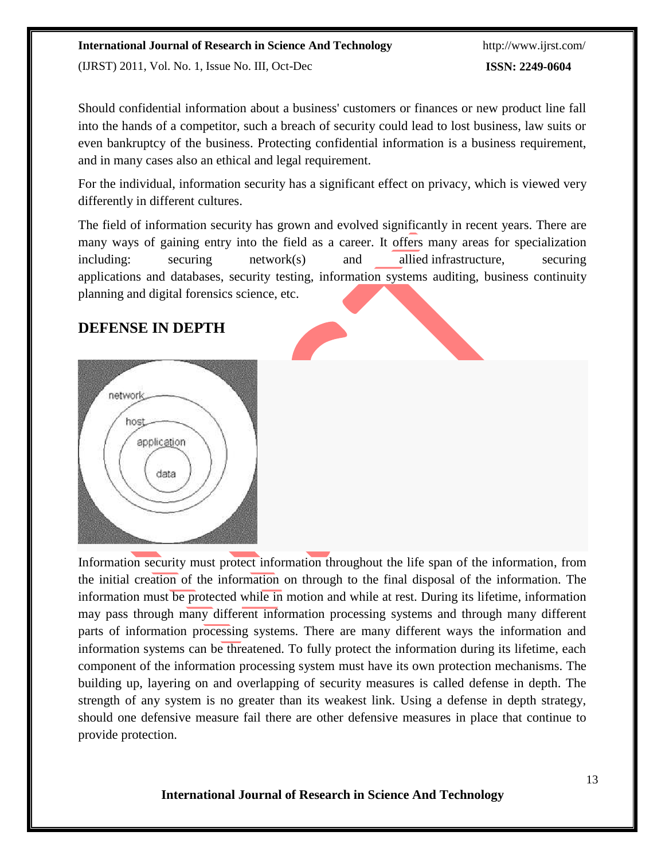(IJRST) 2011, Vol. No. 1, Issue No. III, Oct-Dec

http://www.ijrst.com/

**ISSN: 2249-0604**

Should confidential information about a business' customers or finances or new product line fall into the hands of a competitor, such a breach of security could lead to lost business, law suits or ev[en bankruptcy o](http://en.wikipedia.org/wiki/Bankruptcy)f the business. Protecting confidential information is a business requirement, and in many cases also an ethical and legal requirement.

For the individual, information security has a significant effect on [privacy,](http://en.wikipedia.org/wiki/Privacy) which is viewed very differently in different [cultures.](http://en.wikipedia.org/wiki/Cultures)

The field of information security has grown and evolved significantly in recent years. There are many ways of gaining entry into the field as a career. It offers many areas for specialization including: securing network(s) and allied [infrastructure,](http://en.wikipedia.org/wiki/Infrastructure) securing [applications a](http://en.wikipedia.org/wiki/Application_software)nd [databases,](http://en.wikipedia.org/wiki/Database) [security testing,](http://en.wikipedia.org/wiki/Security_testing) information systems [auditing,](http://en.wikipedia.org/wiki/Audit) [business continuity](http://en.wikipedia.org/wiki/Business_continuity_planning) [planning a](http://en.wikipedia.org/wiki/Business_continuity_planning)nd [digital forensics s](http://en.wikipedia.org/wiki/Digital_forensics)cience, etc.

## **DEFENSE IN DEPTH**



Information security must protect information throughout the life span of the information, from the initial creation of the information on through to the final disposal of the information. The information must be protected while in motion and while at rest. During its lifetime, information may pass through many different information processing systems and through many different parts of information processing systems. There are many different ways the information and information systems can be threatened. To fully protect the information during its lifetime, each component of the information processing system must have its own protection mechanisms. The building up, layering on and overlapping of security measures is called defense in depth. The strength of any system is no greater than its weakest link. Using a defense in depth strategy, should one defensive measure fail there are other defensive measures in place that continue to provide protection.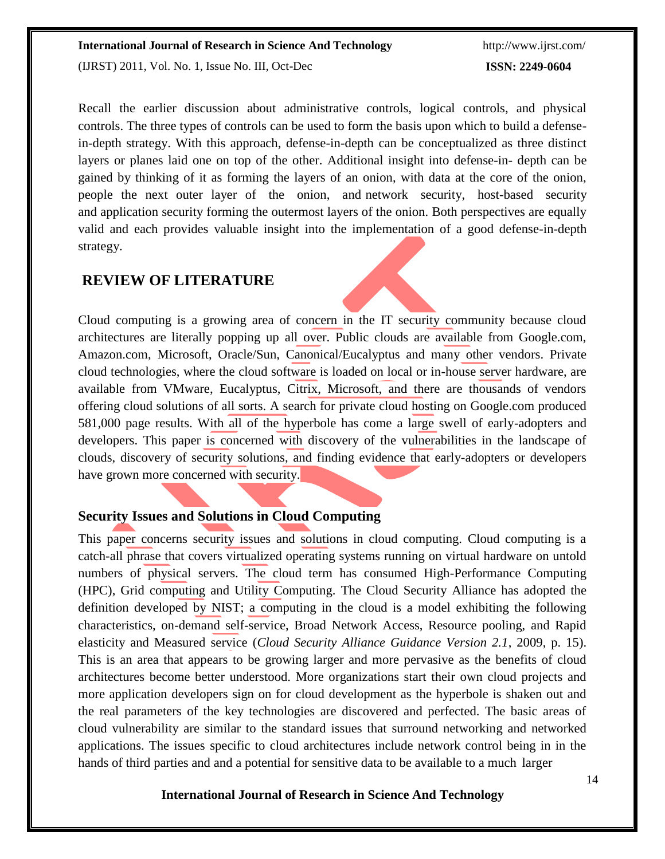(IJRST) 2011, Vol. No. 1, Issue No. III, Oct-Dec

http://www.ijrst.com/ **ISSN: 2249-0604**

Recall the earlier discussion about administrative controls, logical controls, and physical controls. The three types of controls can be used to form the basis upon which to build a defensein-depth strategy. With this approach, defense-in-depth can be conceptualized as three distinct layers or planes laid one on top of the other. Additional insight into defense-in- depth can be gained by thinking of it as forming the layers of an onion, with data at the core of the onion, people the next outer layer of the onion, [and network security,](http://en.wikipedia.org/wiki/Network_security) host-based security and [application security f](http://en.wikipedia.org/wiki/Application_security)orming the outermost layers of the onion. Both perspectives are equally valid and each provides valuable insight into the implementation of a good defense-in-depth strategy.

#### **REVIEW OF LITERATURE**

Cloud computing is a growing area of concern in the IT security community because cloud architectures are literally popping up all over. Public clouds are available from Google.com, Amazon.com, Microsoft, Oracle/Sun, Canonical/Eucalyptus and many other vendors. Private cloud technologies, where the cloud software is loaded on local or in-house server hardware, are available from VMware, Eucalyptus, Citrix, Microsoft, and there are thousands of vendors offering cloud solutions of all sorts. A search for private cloud hosting on Google.com produced 581,000 page results. With all of the hyperbole has come a large swell of early-adopters and developers. This paper is concerned with discovery of the vulnerabilities in the landscape of clouds, discovery of security solutions, and finding evidence that early-adopters or developers have grown more concerned with security.

## **Security Issues and Solutions in Cloud Computing**

This paper concerns security issues and solutions in cloud computing. Cloud computing is a catch-all phrase that covers virtualized operating systems running on virtual hardware on untold numbers of physical servers. The cloud term has consumed High-Performance Computing (HPC), Grid computing and Utility Computing. The Cloud Security Alliance has adopted the definition developed by NIST; a computing in the cloud is a model exhibiting the following characteristics, on-demand self-service, Broad Network Access, Resource pooling, and Rapid elasticity and Measured service (*Cloud Security Alliance Guidance Version 2.1*, 2009, p. 15). This is an area that appears to be growing larger and more pervasive as the benefits of cloud architectures become better understood. More organizations start their own cloud projects and more application developers sign on for cloud development as the hyperbole is shaken out and the real parameters of the key technologies are discovered and perfected. The basic areas of cloud vulnerability are similar to the standard issues that surround networking and networked applications. The issues specific to cloud architectures include network control being in in the hands of third parties and and a potential for sensitive data to be available to a much larger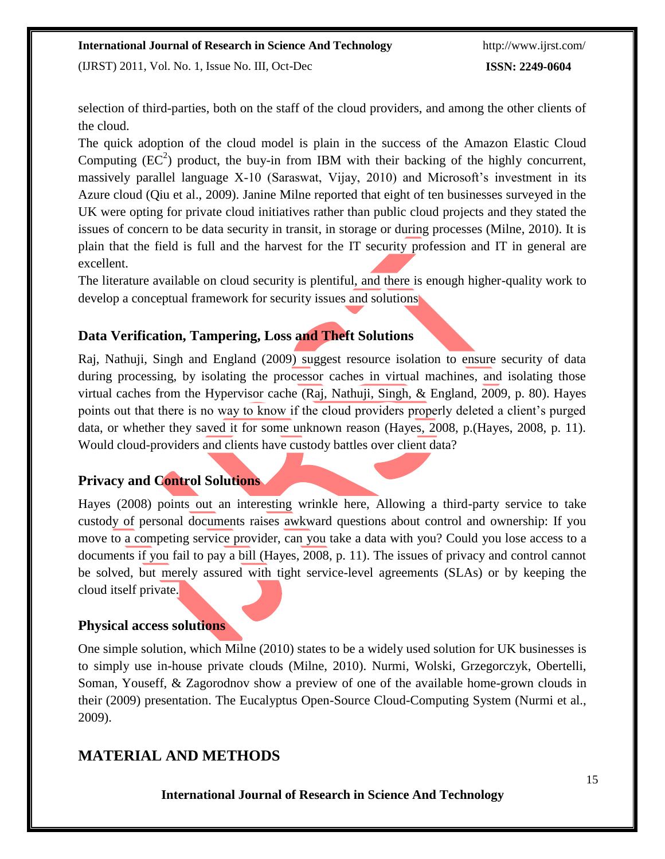(IJRST) 2011, Vol. No. 1, Issue No. III, Oct-Dec

**ISSN: 2249-0604**

selection of third-parties, both on the staff of the cloud providers, and among the other clients of the cloud.

The quick adoption of the cloud model is plain in the success of the Amazon Elastic Cloud Computing  $(EC^2)$  product, the buy-in from IBM with their backing of the highly concurrent, massively parallel language X-10 (Saraswat, Vijay, 2010) and Microsoft's investment in its Azure cloud (Qiu et al., 2009). Janine Milne reported that eight of ten businesses surveyed in the UK were opting for private cloud initiatives rather than public cloud projects and they stated the issues of concern to be data security in transit, in storage or during processes (Milne, 2010). It is plain that the field is full and the harvest for the IT security profession and IT in general are excellent.

The literature available on cloud security is plentiful, and there is enough higher-quality work to develop a conceptual framework for security issues and solutions

#### **Data Verification, Tampering, Loss and Theft Solutions**

Raj, Nathuji, Singh and England (2009) suggest resource isolation to ensure security of data during processing, by isolating the processor caches in virtual machines, and isolating those virtual caches from the Hypervisor cache (Raj, Nathuji, Singh, & England, 2009, p. 80). Hayes points out that there is no way to know if the cloud providers properly deleted a client's purged data, or whether they saved it for some unknown reason (Hayes, 2008, p.(Hayes, 2008, p. 11). Would cloud-providers and clients have custody battles over client data?

#### **Privacy and Control Solutions**

Hayes (2008) points out an interesting wrinkle here, Allowing a third-party service to take custody of personal documents raises awkward questions about control and ownership: If you move to a competing service provider, can you take a data with you? Could you lose access to a documents if you fail to pay a bill (Hayes, 2008, p. 11). The issues of privacy and control cannot be solved, but merely assured with tight service-level agreements (SLAs) or by keeping the cloud itself private.

#### **Physical access solutions**

One simple solution, which Milne (2010) states to be a widely used solution for UK businesses is to simply use in-house private clouds (Milne, 2010). Nurmi, Wolski, Grzegorczyk, Obertelli, Soman, Youseff, & Zagorodnov show a preview of one of the available home-grown clouds in their (2009) presentation. The Eucalyptus Open-Source Cloud-Computing System (Nurmi et al., 2009).

#### **MATERIAL AND METHODS**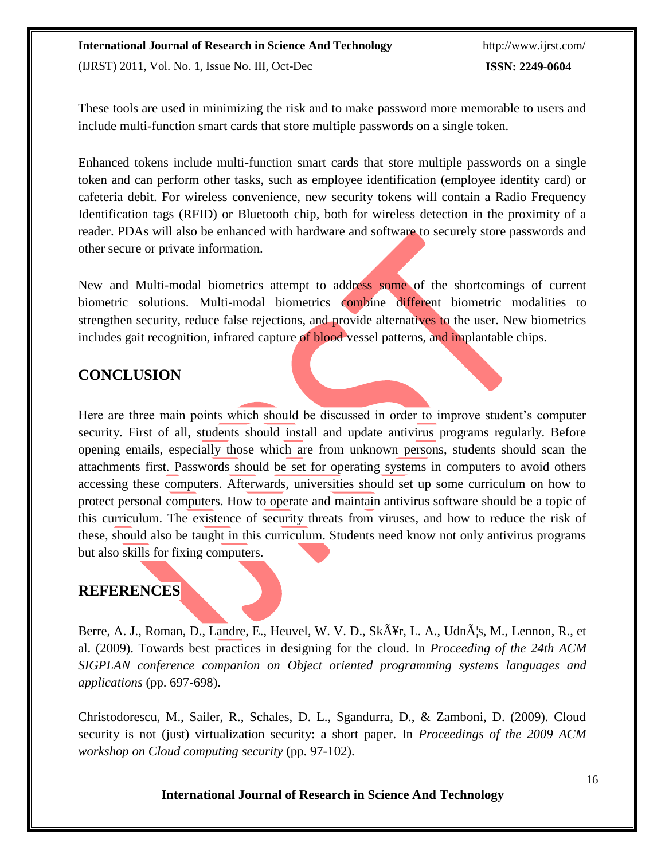(IJRST) 2011, Vol. No. 1, Issue No. III, Oct-Dec

These tools are used in minimizing the risk and to make password more memorable to users and include multi-function smart cards that store multiple passwords on a single token.

Enhanced tokens include multi-function smart cards that store multiple passwords on a single token and can perform other tasks, such as employee identification (employee identity card) or cafeteria debit. For wireless convenience, new security tokens will contain a Radio Frequency Identification tags (RFID) or Bluetooth chip, both for wireless detection in the proximity of a reader. PDAs will also be enhanced with hardware and software to securely store passwords and other secure or private information.

New and Multi-modal biometrics attempt to address some of the shortcomings of current biometric solutions. Multi-modal biometrics combine different biometric modalities to strengthen security, reduce false rejections, and provide alternatives to the user. New biometrics includes gait recognition, infrared capture of blood vessel patterns, and implantable chips.

# **CONCLUSION**

Here are three main points which should be discussed in order to improve student's computer security. First of all, students should install and update antivirus programs regularly. Before opening emails, especially those which are from unknown persons, students should scan the attachments first. Passwords should be set for operating systems in computers to avoid others accessing these computers. Afterwards, universities should set up some curriculum on how to protect personal computers. How to operate and maintain antivirus software should be a topic of this curriculum. The existence of security threats from viruses, and how to reduce the risk of these, should also be taught in this curriculum. Students need know not only antivirus programs but also skills for fixing computers.

## **REFERENCES**

Berre, A. J., Roman, D., Landre, E., Heuvel, W. V. D., Sk $\tilde{A}$ ¥r, L. A., Udn $\tilde{A}$ ¦s, M., Lennon, R., et al. (2009). Towards best practices in designing for the cloud. In *Proceeding of the 24th ACM SIGPLAN conference companion on Object oriented programming systems languages and applications* (pp. 697-698).

Christodorescu, M., Sailer, R., Schales, D. L., Sgandurra, D., & Zamboni, D. (2009). Cloud security is not (just) virtualization security: a short paper. In *Proceedings of the 2009 ACM workshop on Cloud computing security* (pp. 97-102).